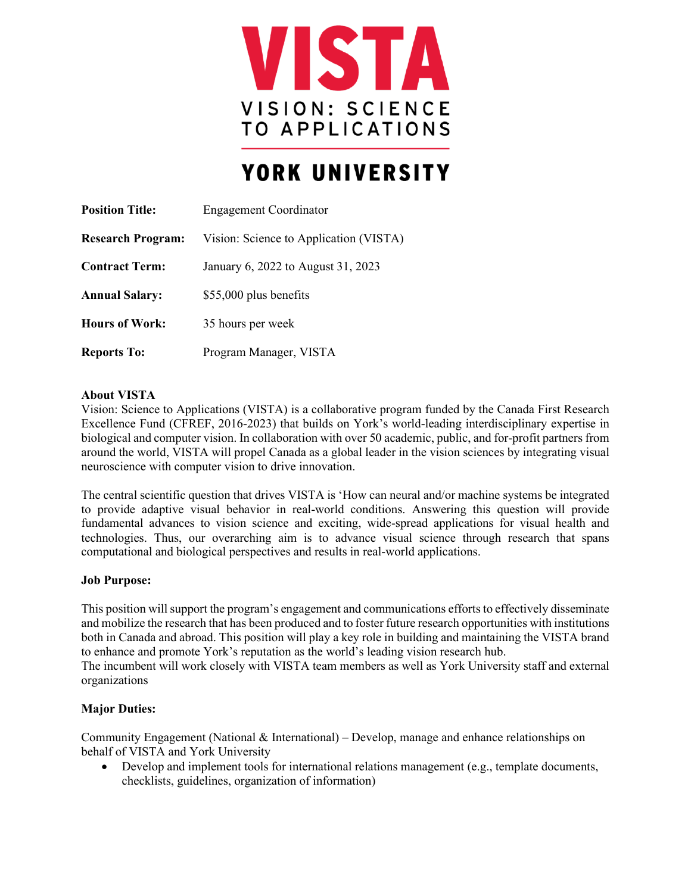

# YORK UNIVERSITY

| <b>Position Title:</b>   | <b>Engagement Coordinator</b>          |
|--------------------------|----------------------------------------|
| <b>Research Program:</b> | Vision: Science to Application (VISTA) |
| <b>Contract Term:</b>    | January 6, 2022 to August 31, 2023     |
| <b>Annual Salary:</b>    | \$55,000 plus benefits                 |
| <b>Hours of Work:</b>    | 35 hours per week                      |
| <b>Reports To:</b>       | Program Manager, VISTA                 |

## **About VISTA**

Vision: Science to Applications (VISTA) is a collaborative program funded by the Canada First Research Excellence Fund (CFREF, 2016-2023) that builds on York's world-leading interdisciplinary expertise in biological and computer vision. In collaboration with over 50 academic, public, and for-profit partners from around the world, VISTA will propel Canada as a global leader in the vision sciences by integrating visual neuroscience with computer vision to drive innovation.

The central scientific question that drives VISTA is 'How can neural and/or machine systems be integrated to provide adaptive visual behavior in real-world conditions. Answering this question will provide fundamental advances to vision science and exciting, wide-spread applications for visual health and technologies. Thus, our overarching aim is to advance visual science through research that spans computational and biological perspectives and results in real-world applications.

## **Job Purpose:**

This position willsupport the program's engagement and communications efforts to effectively disseminate and mobilize the research that has been produced and to foster future research opportunities with institutions both in Canada and abroad. This position will play a key role in building and maintaining the VISTA brand to enhance and promote York's reputation as the world's leading vision research hub.

The incumbent will work closely with VISTA team members as well as York University staff and external organizations

## **Major Duties:**

Community Engagement (National & International) – Develop, manage and enhance relationships on behalf of VISTA and York University

• Develop and implement tools for international relations management (e.g., template documents, checklists, guidelines, organization of information)